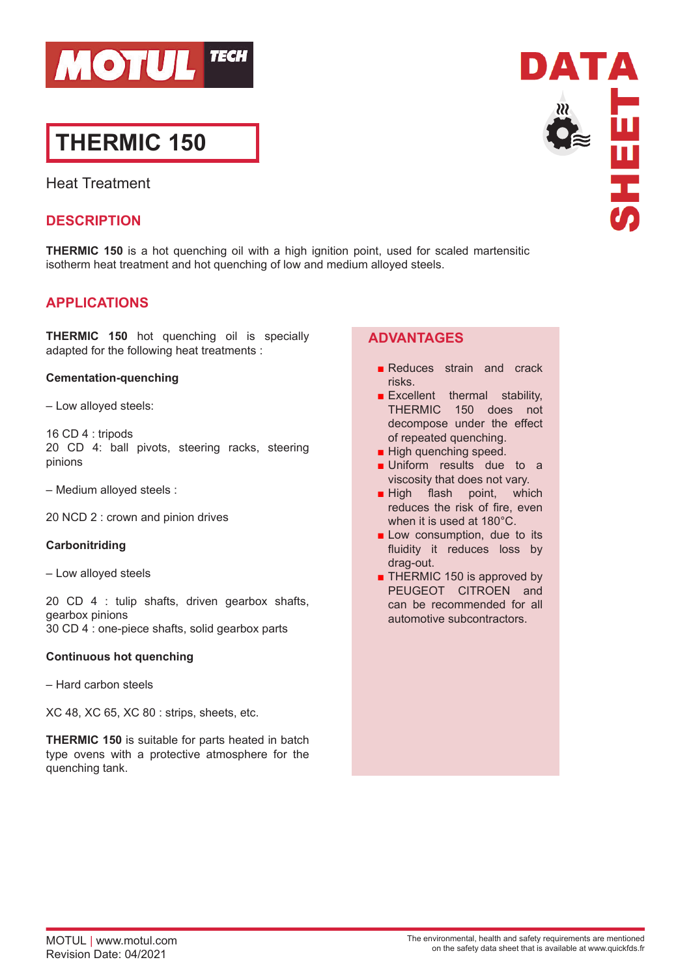

# **THERMIC 150**

Heat Treatment

## **DESCRIPTION**

**THERMIC 150** is a hot quenching oil with a high ignition point, used for scaled martensitic isotherm heat treatment and hot quenching of low and medium alloyed steels.

## **APPLICATIONS**

**THERMIC 150** hot quenching oil is specially adapted for the following heat treatments :

#### **Cementation-quenching**

– Low alloyed steels:

16 CD 4 : tripods 20 CD 4: ball pivots, steering racks, steering pinions

– Medium alloyed steels :

20 NCD 2 : crown and pinion drives

#### **Carbonitriding**

– Low alloyed steels

20 CD 4 : tulip shafts, driven gearbox shafts, gearbox pinions 30 CD 4 : one-piece shafts, solid gearbox parts

#### **Continuous hot quenching**

– Hard carbon steels

XC 48, XC 65, XC 80 : strips, sheets, etc.

**THERMIC 150** is suitable for parts heated in batch type ovens with a protective atmosphere for the quenching tank.

## **ADVANTAGES**

- Reduces strain and crack risks.
- **Excellent** thermal stability, THERMIC 150 does not decompose under the effect of repeated quenching.
- High quenching speed.
- Uniform results due to a viscosity that does not vary.
- **High flash point, which** reduces the risk of fire, even when it is used at 180°C.
- Low consumption, due to its fluidity it reduces loss by drag-out.
- THERMIC 150 is approved by PEUGEOT CITROEN and can be recommended for all automotive subcontractors.